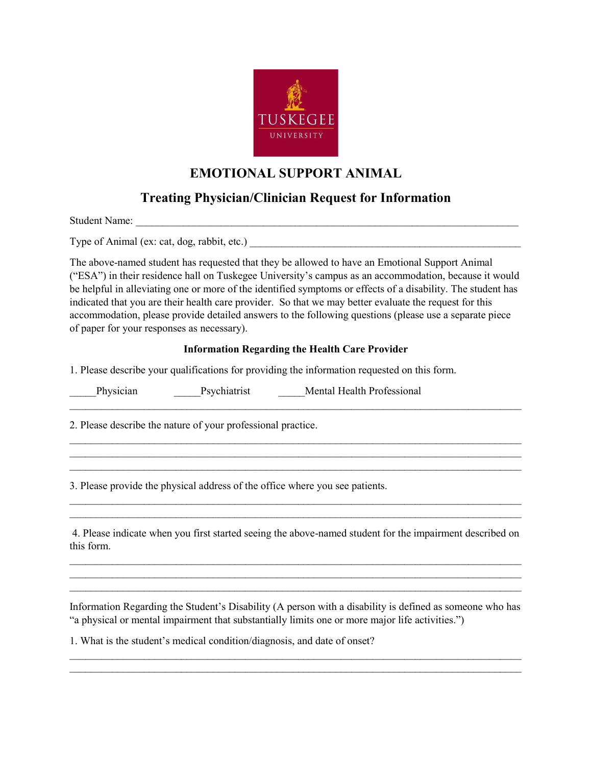

### **EMOTIONAL SUPPORT ANIMAL**

### **Treating Physician/Clinician Request for Information**

Student Name:

Type of Animal (ex: cat, dog, rabbit, etc.)

The above-named student has requested that they be allowed to have an Emotional Support Animal ("ESA") in their residence hall on Tuskegee University's campus as an accommodation, because it would be helpful in alleviating one or more of the identified symptoms or effects of a disability. The student has indicated that you are their health care provider. So that we may better evaluate the request for this accommodation, please provide detailed answers to the following questions (please use a separate piece of paper for your responses as necessary).

#### **Information Regarding the Health Care Provider**

 $\_$  , and the set of the set of the set of the set of the set of the set of the set of the set of the set of the set of the set of the set of the set of the set of the set of the set of the set of the set of the set of th

 $\_$  , and the set of the set of the set of the set of the set of the set of the set of the set of the set of the set of the set of the set of the set of the set of the set of the set of the set of the set of the set of th

 $\_$  , and the set of the set of the set of the set of the set of the set of the set of the set of the set of the set of the set of the set of the set of the set of the set of the set of the set of the set of the set of th

 $\_$  , and the set of the set of the set of the set of the set of the set of the set of the set of the set of the set of the set of the set of the set of the set of the set of the set of the set of the set of the set of th  $\_$  , and the set of the set of the set of the set of the set of the set of the set of the set of the set of the set of the set of the set of the set of the set of the set of the set of the set of the set of the set of th

1. Please describe your qualifications for providing the information requested on this form.

Physician Psychiatrist Mental Health Professional

2. Please describe the nature of your professional practice.

3. Please provide the physical address of the office where you see patients.

4. Please indicate when you first started seeing the above-named student for the impairment described on this form.

 $\_$  , and the set of the set of the set of the set of the set of the set of the set of the set of the set of the set of the set of the set of the set of the set of the set of the set of the set of the set of the set of th \_\_\_\_\_\_\_\_\_\_\_\_\_\_\_\_\_\_\_\_\_\_\_\_\_\_\_\_\_\_\_\_\_\_\_\_\_\_\_\_\_\_\_\_\_\_\_\_\_\_\_\_\_\_\_\_\_\_\_\_\_\_\_\_\_\_\_\_\_\_\_\_\_\_\_\_\_\_\_\_\_\_\_\_\_  $\_$  , and the set of the set of the set of the set of the set of the set of the set of the set of the set of the set of the set of the set of the set of the set of the set of the set of the set of the set of the set of th

Information Regarding the Student's Disability (A person with a disability is defined as someone who has "a physical or mental impairment that substantially limits one or more major life activities.")

 $\_$  , and the set of the set of the set of the set of the set of the set of the set of the set of the set of the set of the set of the set of the set of the set of the set of the set of the set of the set of the set of th  $\_$  , and the set of the set of the set of the set of the set of the set of the set of the set of the set of the set of the set of the set of the set of the set of the set of the set of the set of the set of the set of th

1. What is the student's medical condition/diagnosis, and date of onset?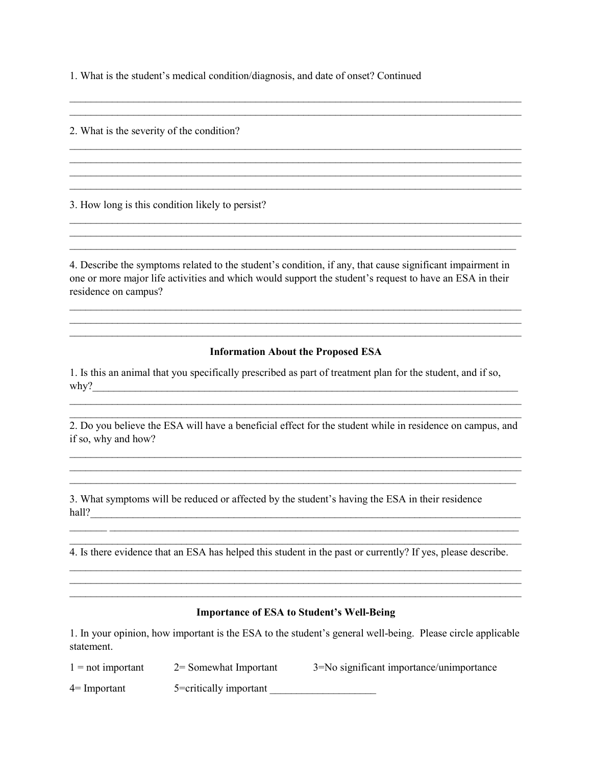1. What is the student's medical condition/diagnosis, and date of onset? Continued

2. What is the severity of the condition?

3. How long is this condition likely to persist?

4. Describe the symptoms related to the student's condition, if any, that cause significant impairment in one or more major life activities and which would support the student's request to have an ESA in their residence on campus?

 $\_$  , and the set of the set of the set of the set of the set of the set of the set of the set of the set of the set of the set of the set of the set of the set of the set of the set of the set of the set of the set of th  $\mathcal{L}_\text{max}$  , and the contract of the contract of the contract of the contract of the contract of the contract of the contract of the contract of the contract of the contract of the contract of the contract of the contr

 $\mathcal{L}_\text{max}$  , and the contract of the contract of the contract of the contract of the contract of the contract of  $\_$  , and the set of the set of the set of the set of the set of the set of the set of the set of the set of the set of the set of the set of the set of the set of the set of the set of the set of the set of the set of th  $\mathcal{L}_\text{max}$  , and the contract of the contract of the contract of the contract of the contract of the contract of  $\_$  , and the set of the set of the set of the set of the set of the set of the set of the set of the set of the set of the set of the set of the set of the set of the set of the set of the set of the set of the set of th

 $\mathcal{L}_\text{max}$  , and the contribution of the contribution of the contribution of the contribution of the contribution of the contribution of the contribution of the contribution of the contribution of the contribution of t

 $\mathcal{L}_\text{max}$  , and the contract of the contract of the contract of the contract of the contract of the contract of

 $\mathcal{L} = \{ \mathcal{L} = \{ \mathcal{L} = \{ \mathcal{L} = \{ \mathcal{L} = \{ \mathcal{L} = \{ \mathcal{L} = \{ \mathcal{L} = \{ \mathcal{L} = \{ \mathcal{L} = \{ \mathcal{L} = \{ \mathcal{L} = \{ \mathcal{L} = \{ \mathcal{L} = \{ \mathcal{L} = \{ \mathcal{L} = \{ \mathcal{L} = \{ \mathcal{L} = \{ \mathcal{L} = \{ \mathcal{L} = \{ \mathcal{L} = \{ \mathcal{L} = \{ \mathcal{L} = \{ \mathcal{L} = \{ \mathcal{$ 

#### **Information About the Proposed ESA**

 $\_$  , and the set of the set of the set of the set of the set of the set of the set of the set of the set of the set of the set of the set of the set of the set of the set of the set of the set of the set of the set of th \_\_\_\_\_\_\_\_\_\_\_\_\_\_\_\_\_\_\_\_\_\_\_\_\_\_\_\_\_\_\_\_\_\_\_\_\_\_\_\_\_\_\_\_\_\_\_\_\_\_\_\_\_\_\_\_\_\_\_\_\_\_\_\_\_\_\_\_\_\_\_\_\_\_\_\_\_\_\_\_\_\_\_\_\_ \_\_\_\_\_\_\_\_\_\_\_\_\_\_\_\_\_\_\_\_\_\_\_\_\_\_\_\_\_\_\_\_\_\_\_\_\_\_\_\_\_\_\_\_\_\_\_\_\_\_\_\_\_\_\_\_\_\_\_\_\_\_\_\_\_\_\_\_\_\_\_\_\_\_\_\_\_\_\_\_\_\_\_\_\_

1. Is this an animal that you specifically prescribed as part of treatment plan for the student, and if so, why?\_\_\_\_\_\_\_\_\_\_\_\_\_\_\_\_\_\_\_\_\_\_\_\_\_\_\_\_\_\_\_\_\_\_\_\_\_\_\_\_\_\_\_\_\_\_\_\_\_\_\_\_\_\_\_\_\_\_\_\_\_\_\_\_\_\_\_\_\_\_\_\_\_\_\_\_\_\_\_\_

\_\_\_\_\_\_\_\_\_\_\_\_\_\_\_\_\_\_\_\_\_\_\_\_\_\_\_\_\_\_\_\_\_\_\_\_\_\_\_\_\_\_\_\_\_\_\_\_\_\_\_\_\_\_\_\_\_\_\_\_\_\_\_\_\_\_\_\_\_\_\_\_\_\_\_\_\_\_\_\_\_\_\_\_\_

\_\_\_\_\_\_\_\_\_\_\_\_\_\_\_\_\_\_\_\_\_\_\_\_\_\_\_\_\_\_\_\_\_\_\_\_\_\_\_\_\_\_\_\_\_\_\_\_\_\_\_\_\_\_\_\_\_\_\_\_\_\_\_\_\_\_\_\_\_\_\_\_\_\_\_\_\_\_\_\_\_\_\_\_\_ 2. Do you believe the ESA will have a beneficial effect for the student while in residence on campus, and if so, why and how?

 $\_$  , and the set of the set of the set of the set of the set of the set of the set of the set of the set of the set of the set of the set of the set of the set of the set of the set of the set of the set of the set of th  $\mathcal{L}_\text{max}$  , and the contribution of the contribution of the contribution of the contribution of the contribution of the contribution of the contribution of the contribution of the contribution of the contribution of t  $\mathcal{L}_\text{max}$  , and the contract of the contract of the contract of the contract of the contract of the contract of

3. What symptoms will be reduced or affected by the student's having the ESA in their residence hall?\_\_\_\_\_\_\_\_\_\_\_\_\_\_\_\_\_\_\_\_\_\_\_\_\_\_\_\_\_\_\_\_\_\_\_\_\_\_\_\_\_\_\_\_\_\_\_\_\_\_\_\_\_\_\_\_\_\_\_\_\_\_\_\_\_\_\_\_\_\_\_\_\_\_\_\_\_\_\_\_\_

4. Is there evidence that an ESA has helped this student in the past or currently? If yes, please describe.

\_\_\_\_\_\_\_ \_\_\_\_\_\_\_\_\_\_\_\_\_\_\_\_\_\_\_\_\_\_\_\_\_\_\_\_\_\_\_\_\_\_\_\_\_\_\_\_\_\_\_\_\_\_\_\_\_\_\_\_\_\_\_\_\_\_\_\_\_\_\_\_\_\_\_\_\_\_\_\_\_\_\_\_\_ \_\_\_\_\_\_\_\_\_\_\_\_\_\_\_\_\_\_\_\_\_\_\_\_\_\_\_\_\_\_\_\_\_\_\_\_\_\_\_\_\_\_\_\_\_\_\_\_\_\_\_\_\_\_\_\_\_\_\_\_\_\_\_\_\_\_\_\_\_\_\_\_\_\_\_\_\_\_\_\_\_\_\_\_\_

 $\_$  , and the set of the set of the set of the set of the set of the set of the set of the set of the set of the set of the set of the set of the set of the set of the set of the set of the set of the set of the set of th  $\_$  , and the set of the set of the set of the set of the set of the set of the set of the set of the set of the set of the set of the set of the set of the set of the set of the set of the set of the set of the set of th \_\_\_\_\_\_\_\_\_\_\_\_\_\_\_\_\_\_\_\_\_\_\_\_\_\_\_\_\_\_\_\_\_\_\_\_\_\_\_\_\_\_\_\_\_\_\_\_\_\_\_\_\_\_\_\_\_\_\_\_\_\_\_\_\_\_\_\_\_\_\_\_\_\_\_\_\_\_\_\_\_\_\_\_\_

#### **Importance of ESA to Student's Well-Being**

1. In your opinion, how important is the ESA to the student's general well-being. Please circle applicable statement.

| $1 = not important$ | $2 =$ Somewhat Important | 3=No significant importance/unimportance |
|---------------------|--------------------------|------------------------------------------|
| $4=$ Important      | 5=critically important   |                                          |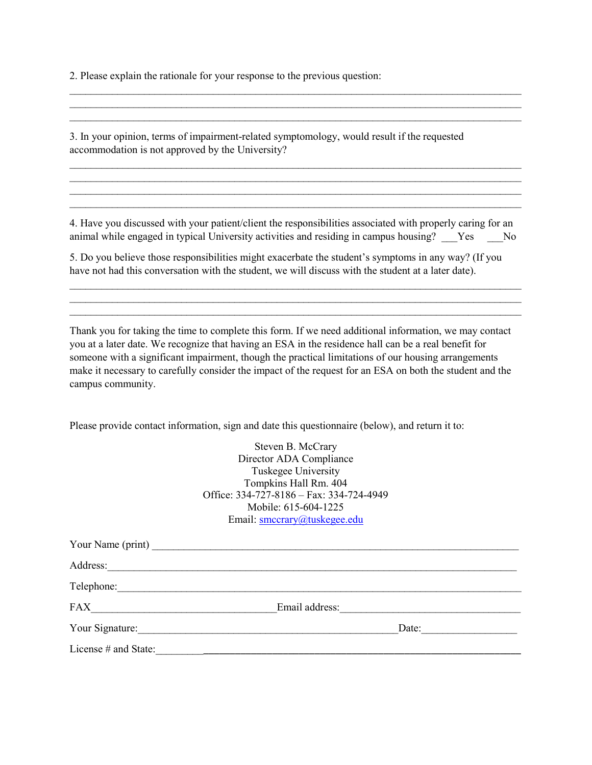2. Please explain the rationale for your response to the previous question:

3. In your opinion, terms of impairment-related symptomology, would result if the requested accommodation is not approved by the University?

4. Have you discussed with your patient/client the responsibilities associated with properly caring for an animal while engaged in typical University activities and residing in campus housing? Yes No

 $\_$  , and the set of the set of the set of the set of the set of the set of the set of the set of the set of the set of the set of the set of the set of the set of the set of the set of the set of the set of the set of th \_\_\_\_\_\_\_\_\_\_\_\_\_\_\_\_\_\_\_\_\_\_\_\_\_\_\_\_\_\_\_\_\_\_\_\_\_\_\_\_\_\_\_\_\_\_\_\_\_\_\_\_\_\_\_\_\_\_\_\_\_\_\_\_\_\_\_\_\_\_\_\_\_\_\_\_\_\_\_\_\_\_\_\_\_  $\_$  , and the set of the set of the set of the set of the set of the set of the set of the set of the set of the set of the set of the set of the set of the set of the set of the set of the set of the set of the set of th

 $\_$  , and the set of the set of the set of the set of the set of the set of the set of the set of the set of the set of the set of the set of the set of the set of the set of the set of the set of the set of the set of th \_\_\_\_\_\_\_\_\_\_\_\_\_\_\_\_\_\_\_\_\_\_\_\_\_\_\_\_\_\_\_\_\_\_\_\_\_\_\_\_\_\_\_\_\_\_\_\_\_\_\_\_\_\_\_\_\_\_\_\_\_\_\_\_\_\_\_\_\_\_\_\_\_\_\_\_\_\_\_\_\_\_\_\_\_  $\mathcal{L}_\text{max}$  , and the contract of the contract of the contract of the contract of the contract of the contract of

\_\_\_\_\_\_\_\_\_\_\_\_\_\_\_\_\_\_\_\_\_\_\_\_\_\_\_\_\_\_\_\_\_\_\_\_\_\_\_\_\_\_\_\_\_\_\_\_\_\_\_\_\_\_\_\_\_\_\_\_\_\_\_\_\_\_\_\_\_\_\_\_\_\_\_\_\_\_\_\_\_\_\_\_\_  $\mathcal{L}_\text{max}$  , and the contract of the contract of the contract of the contract of the contract of the contract of  $\_$  , and the set of the set of the set of the set of the set of the set of the set of the set of the set of the set of the set of the set of the set of the set of the set of the set of the set of the set of the set of th \_\_\_\_\_\_\_\_\_\_\_\_\_\_\_\_\_\_\_\_\_\_\_\_\_\_\_\_\_\_\_\_\_\_\_\_\_\_\_\_\_\_\_\_\_\_\_\_\_\_\_\_\_\_\_\_\_\_\_\_\_\_\_\_\_\_\_\_\_\_\_\_\_\_\_\_\_\_\_\_\_\_\_\_\_

5. Do you believe those responsibilities might exacerbate the student's symptoms in any way? (If you have not had this conversation with the student, we will discuss with the student at a later date).

Thank you for taking the time to complete this form. If we need additional information, we may contact you at a later date. We recognize that having an ESA in the residence hall can be a real benefit for someone with a significant impairment, though the practical limitations of our housing arrangements make it necessary to carefully consider the impact of the request for an ESA on both the student and the campus community.

Please provide contact information, sign and date this questionnaire (below), and return it to:

Steven B. McCrary Director ADA Compliance Tuskegee University Tompkins Hall Rm. 404 Office: 334-727-8186 – Fax: 334-724-4949 Mobile: 615-604-1225 Email: [smccrary@tuskegee.edu](mailto:smccrary@tuskegee.edu)

| Address:             |       |  |
|----------------------|-------|--|
|                      |       |  |
| FAX                  |       |  |
| Your Signature:      | Date: |  |
| License # and State: |       |  |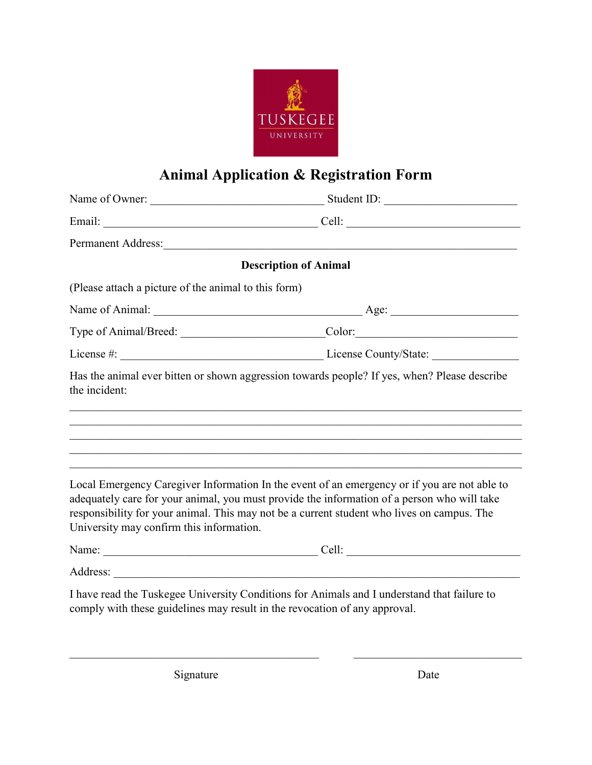

# **Animal Application & Registration Form**

|                                                                            | Name of Owner: Student ID:                                                                                                                                                                                                                                                                |
|----------------------------------------------------------------------------|-------------------------------------------------------------------------------------------------------------------------------------------------------------------------------------------------------------------------------------------------------------------------------------------|
|                                                                            |                                                                                                                                                                                                                                                                                           |
|                                                                            | Permanent Address: Note and the Community of the Community of the Community of the Community of the Community of the Community of the Community of the Community of the Community of the Community of the Community of the Com                                                            |
|                                                                            | <b>Description of Animal</b>                                                                                                                                                                                                                                                              |
| (Please attach a picture of the animal to this form)                       |                                                                                                                                                                                                                                                                                           |
|                                                                            |                                                                                                                                                                                                                                                                                           |
|                                                                            | Type of Animal/Breed: Color: Color:                                                                                                                                                                                                                                                       |
|                                                                            |                                                                                                                                                                                                                                                                                           |
| the incident:                                                              | Has the animal ever bitten or shown aggression towards people? If yes, when? Please describe                                                                                                                                                                                              |
| University may confirm this information.                                   | Local Emergency Caregiver Information In the event of an emergency or if you are not able to<br>adequately care for your animal, you must provide the information of a person who will take<br>responsibility for your animal. This may not be a current student who lives on campus. The |
|                                                                            |                                                                                                                                                                                                                                                                                           |
|                                                                            |                                                                                                                                                                                                                                                                                           |
| comply with these guidelines may result in the revocation of any approval. | I have read the Tuskegee University Conditions for Animals and I understand that failure to                                                                                                                                                                                               |

 $\_$ 

Signature Date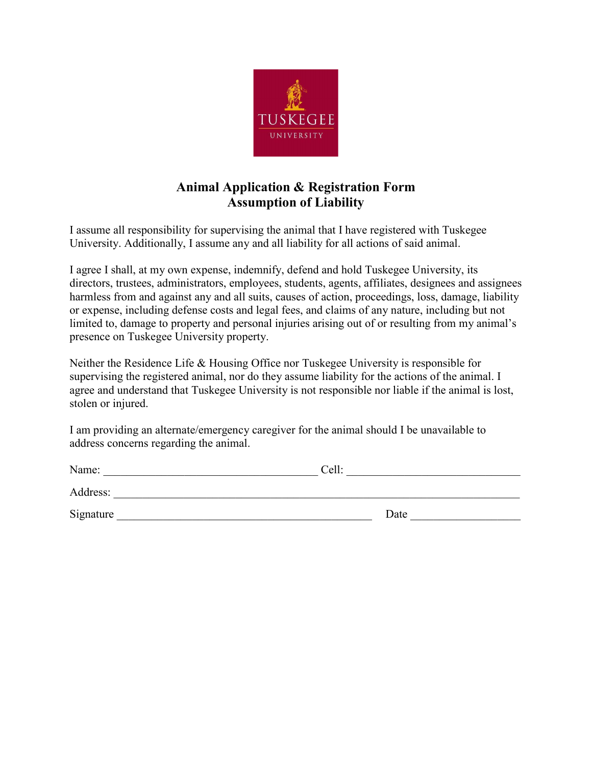

### **Animal Application & Registration Form Assumption of Liability**

I assume all responsibility for supervising the animal that I have registered with Tuskegee University. Additionally, I assume any and all liability for all actions of said animal.

I agree I shall, at my own expense, indemnify, defend and hold Tuskegee University, its directors, trustees, administrators, employees, students, agents, affiliates, designees and assignees harmless from and against any and all suits, causes of action, proceedings, loss, damage, liability or expense, including defense costs and legal fees, and claims of any nature, including but not limited to, damage to property and personal injuries arising out of or resulting from my animal's presence on Tuskegee University property.

Neither the Residence Life & Housing Office nor Tuskegee University is responsible for supervising the registered animal, nor do they assume liability for the actions of the animal. I agree and understand that Tuskegee University is not responsible nor liable if the animal is lost, stolen or injured.

I am providing an alternate/emergency caregiver for the animal should I be unavailable to address concerns regarding the animal.

| Name:     | Cell: |
|-----------|-------|
| Address:  |       |
| Signature | Date  |